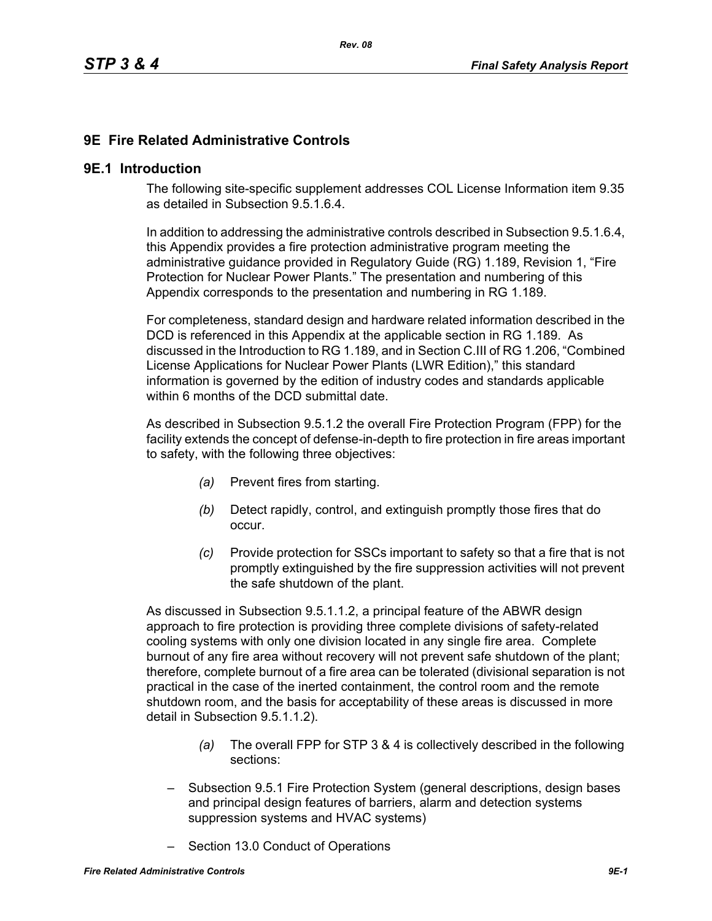# **9E Fire Related Administrative Controls**

#### **9E.1 Introduction**

The following site-specific supplement addresses COL License Information item 9.35 as detailed in Subsection 9.5.1.6.4.

In addition to addressing the administrative controls described in Subsection 9.5.1.6.4, this Appendix provides a fire protection administrative program meeting the administrative guidance provided in Regulatory Guide (RG) 1.189, Revision 1, "Fire Protection for Nuclear Power Plants." The presentation and numbering of this Appendix corresponds to the presentation and numbering in RG 1.189.

For completeness, standard design and hardware related information described in the DCD is referenced in this Appendix at the applicable section in RG 1.189. As discussed in the Introduction to RG 1.189, and in Section C.III of RG 1.206, "Combined License Applications for Nuclear Power Plants (LWR Edition)," this standard information is governed by the edition of industry codes and standards applicable within 6 months of the DCD submittal date.

As described in Subsection 9.5.1.2 the overall Fire Protection Program (FPP) for the facility extends the concept of defense-in-depth to fire protection in fire areas important to safety, with the following three objectives:

- *(a)* Prevent fires from starting.
- *(b)* Detect rapidly, control, and extinguish promptly those fires that do occur.
- *(c)* Provide protection for SSCs important to safety so that a fire that is not promptly extinguished by the fire suppression activities will not prevent the safe shutdown of the plant.

As discussed in Subsection 9.5.1.1.2, a principal feature of the ABWR design approach to fire protection is providing three complete divisions of safety-related cooling systems with only one division located in any single fire area. Complete burnout of any fire area without recovery will not prevent safe shutdown of the plant; therefore, complete burnout of a fire area can be tolerated (divisional separation is not practical in the case of the inerted containment, the control room and the remote shutdown room, and the basis for acceptability of these areas is discussed in more detail in Subsection 9.5.1.1.2).

- *(a)* The overall FPP for STP 3 & 4 is collectively described in the following sections:
- Subsection 9.5.1 Fire Protection System (general descriptions, design bases and principal design features of barriers, alarm and detection systems suppression systems and HVAC systems)
- Section 13.0 Conduct of Operations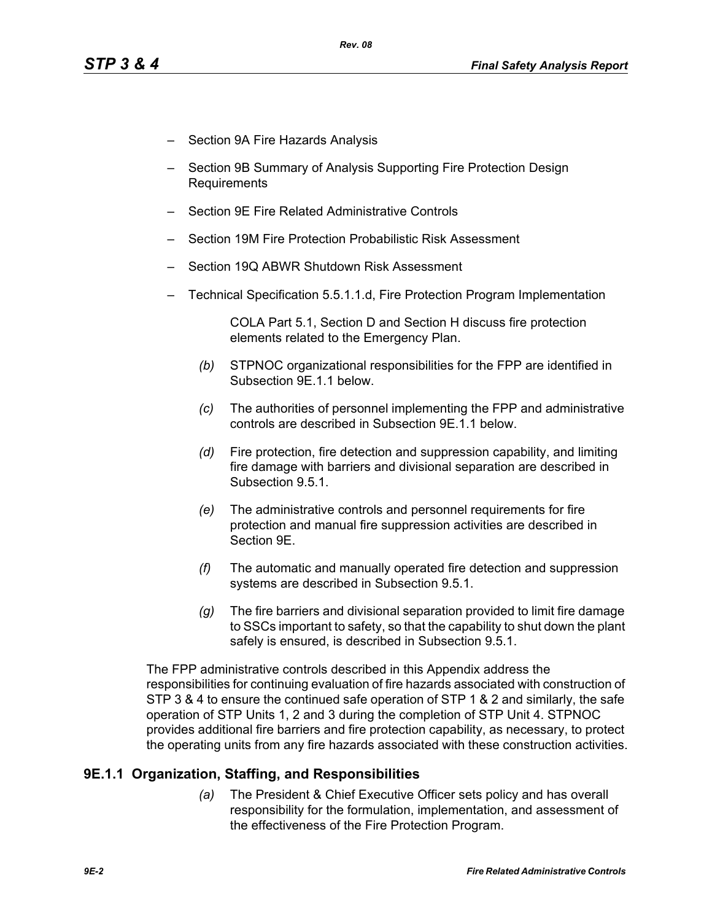- Section 9A Fire Hazards Analysis
- Section 9B Summary of Analysis Supporting Fire Protection Design Requirements
- Section 9E Fire Related Administrative Controls
- Section 19M Fire Protection Probabilistic Risk Assessment
- Section 19Q ABWR Shutdown Risk Assessment
- Technical Specification 5.5.1.1.d, Fire Protection Program Implementation

COLA Part 5.1, Section D and Section H discuss fire protection elements related to the Emergency Plan.

- *(b)* STPNOC organizational responsibilities for the FPP are identified in Subsection 9E.1.1 below.
- *(c)* The authorities of personnel implementing the FPP and administrative controls are described in Subsection 9E.1.1 below.
- *(d)* Fire protection, fire detection and suppression capability, and limiting fire damage with barriers and divisional separation are described in Subsection 9.5.1.
- *(e)* The administrative controls and personnel requirements for fire protection and manual fire suppression activities are described in Section 9E.
- *(f)* The automatic and manually operated fire detection and suppression systems are described in Subsection 9.5.1.
- *(g)* The fire barriers and divisional separation provided to limit fire damage to SSCs important to safety, so that the capability to shut down the plant safely is ensured, is described in Subsection 9.5.1.

The FPP administrative controls described in this Appendix address the responsibilities for continuing evaluation of fire hazards associated with construction of STP 3 & 4 to ensure the continued safe operation of STP 1 & 2 and similarly, the safe operation of STP Units 1, 2 and 3 during the completion of STP Unit 4. STPNOC provides additional fire barriers and fire protection capability, as necessary, to protect the operating units from any fire hazards associated with these construction activities.

# **9E.1.1 Organization, Staffing, and Responsibilities**

*(a)* The President & Chief Executive Officer sets policy and has overall responsibility for the formulation, implementation, and assessment of the effectiveness of the Fire Protection Program.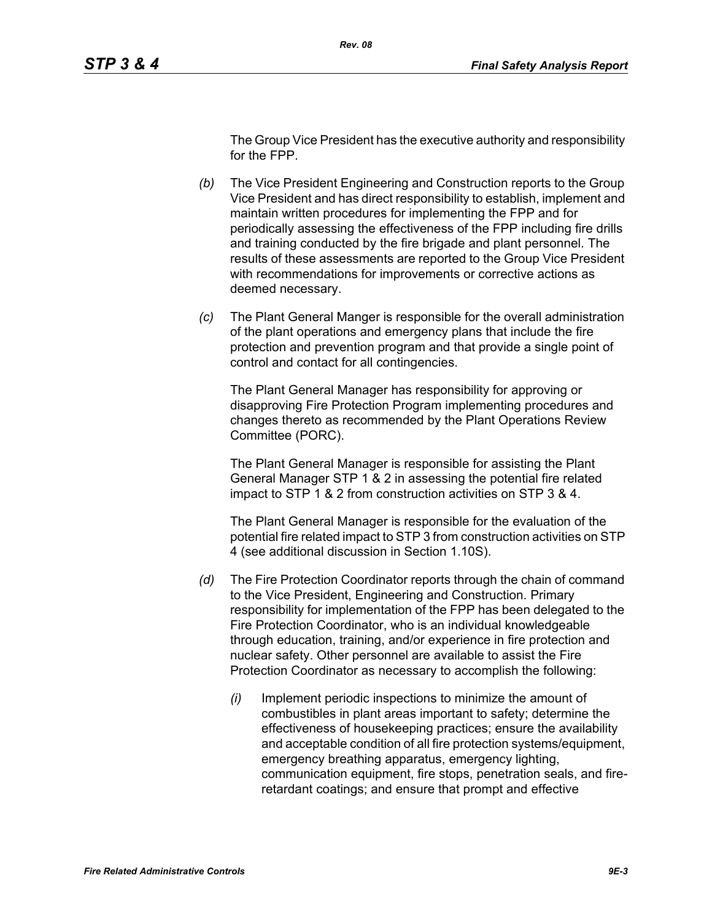The Group Vice President has the executive authority and responsibility for the FPP.

- *(b)* The Vice President Engineering and Construction reports to the Group Vice President and has direct responsibility to establish, implement and maintain written procedures for implementing the FPP and for periodically assessing the effectiveness of the FPP including fire drills and training conducted by the fire brigade and plant personnel. The results of these assessments are reported to the Group Vice President with recommendations for improvements or corrective actions as deemed necessary.
- *(c)* The Plant General Manger is responsible for the overall administration of the plant operations and emergency plans that include the fire protection and prevention program and that provide a single point of control and contact for all contingencies.

The Plant General Manager has responsibility for approving or disapproving Fire Protection Program implementing procedures and changes thereto as recommended by the Plant Operations Review Committee (PORC).

The Plant General Manager is responsible for assisting the Plant General Manager STP 1 & 2 in assessing the potential fire related impact to STP 1 & 2 from construction activities on STP 3 & 4.

The Plant General Manager is responsible for the evaluation of the potential fire related impact to STP 3 from construction activities on STP 4 (see additional discussion in Section 1.10S).

- *(d)* The Fire Protection Coordinator reports through the chain of command to the Vice President, Engineering and Construction. Primary responsibility for implementation of the FPP has been delegated to the Fire Protection Coordinator, who is an individual knowledgeable through education, training, and/or experience in fire protection and nuclear safety. Other personnel are available to assist the Fire Protection Coordinator as necessary to accomplish the following:
	- *(i)* Implement periodic inspections to minimize the amount of combustibles in plant areas important to safety; determine the effectiveness of housekeeping practices; ensure the availability and acceptable condition of all fire protection systems/equipment, emergency breathing apparatus, emergency lighting, communication equipment, fire stops, penetration seals, and fireretardant coatings; and ensure that prompt and effective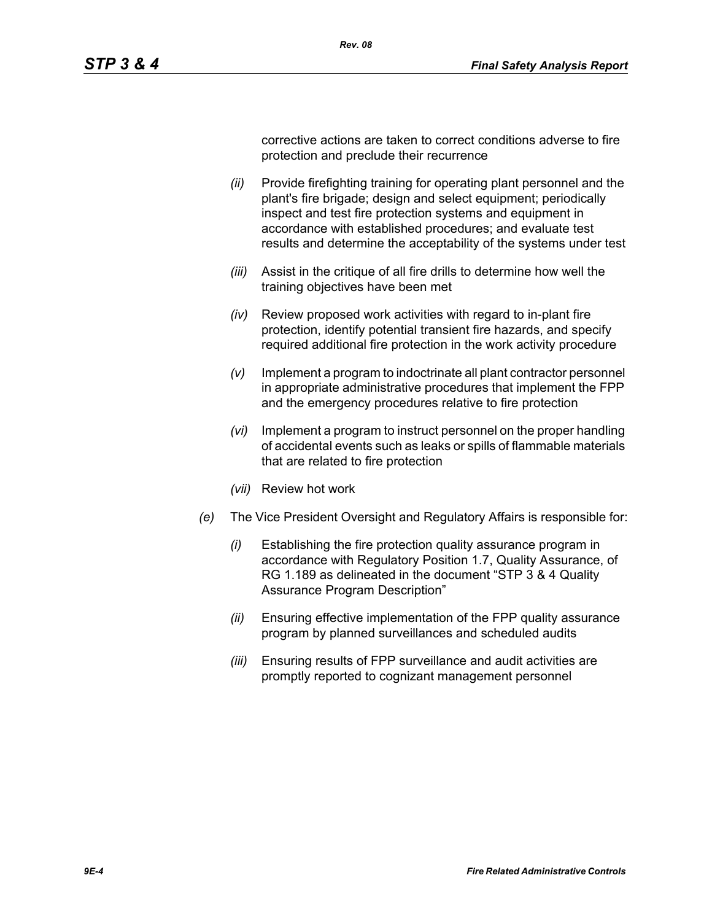corrective actions are taken to correct conditions adverse to fire

- *(ii)* Provide firefighting training for operating plant personnel and the plant's fire brigade; design and select equipment; periodically inspect and test fire protection systems and equipment in accordance with established procedures; and evaluate test results and determine the acceptability of the systems under test
- *(iii)* Assist in the critique of all fire drills to determine how well the training objectives have been met
- *(iv)* Review proposed work activities with regard to in-plant fire protection, identify potential transient fire hazards, and specify required additional fire protection in the work activity procedure
- *(v)* Implement a program to indoctrinate all plant contractor personnel in appropriate administrative procedures that implement the FPP and the emergency procedures relative to fire protection
- *(vi)* Implement a program to instruct personnel on the proper handling of accidental events such as leaks or spills of flammable materials that are related to fire protection
- *(vii)* Review hot work
- *(e)* The Vice President Oversight and Regulatory Affairs is responsible for:
	- *(i)* Establishing the fire protection quality assurance program in accordance with Regulatory Position 1.7, Quality Assurance, of RG 1.189 as delineated in the document "STP 3 & 4 Quality Assurance Program Description"
	- *(ii)* Ensuring effective implementation of the FPP quality assurance program by planned surveillances and scheduled audits
	- *(iii)* Ensuring results of FPP surveillance and audit activities are promptly reported to cognizant management personnel

protection and preclude their recurrence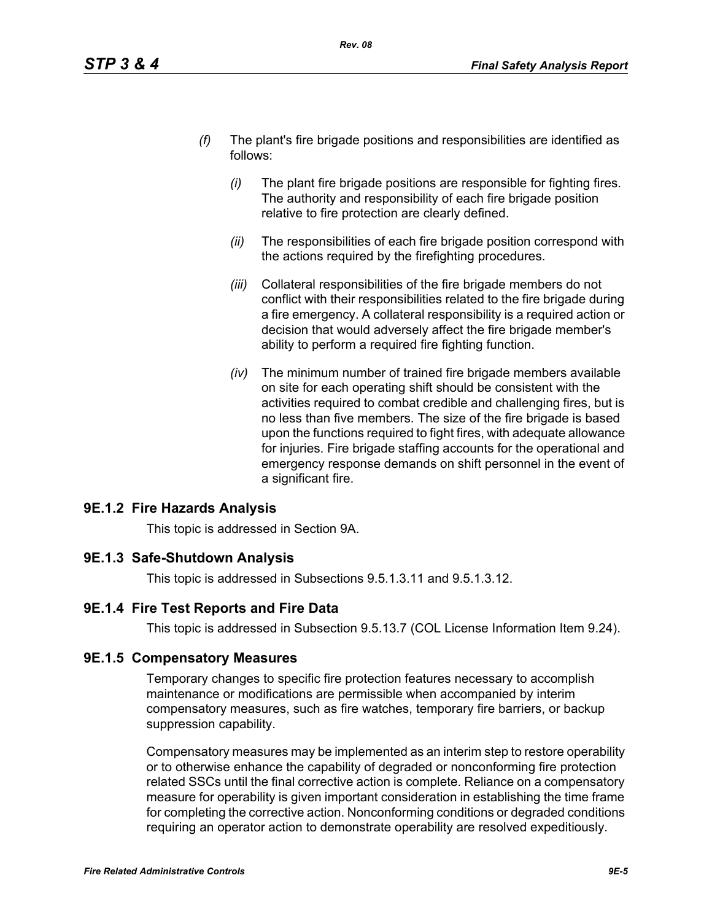- *(f)* The plant's fire brigade positions and responsibilities are identified as follows:
	- *(i)* The plant fire brigade positions are responsible for fighting fires. The authority and responsibility of each fire brigade position relative to fire protection are clearly defined.
	- *(ii)* The responsibilities of each fire brigade position correspond with the actions required by the firefighting procedures.
	- *(iii)* Collateral responsibilities of the fire brigade members do not conflict with their responsibilities related to the fire brigade during a fire emergency. A collateral responsibility is a required action or decision that would adversely affect the fire brigade member's ability to perform a required fire fighting function.
	- *(iv)* The minimum number of trained fire brigade members available on site for each operating shift should be consistent with the activities required to combat credible and challenging fires, but is no less than five members. The size of the fire brigade is based upon the functions required to fight fires, with adequate allowance for injuries. Fire brigade staffing accounts for the operational and emergency response demands on shift personnel in the event of a significant fire.

# **9E.1.2 Fire Hazards Analysis**

This topic is addressed in Section 9A.

# **9E.1.3 Safe-Shutdown Analysis**

This topic is addressed in Subsections 9.5.1.3.11 and 9.5.1.3.12.

# **9E.1.4 Fire Test Reports and Fire Data**

This topic is addressed in Subsection 9.5.13.7 (COL License Information Item 9.24).

# **9E.1.5 Compensatory Measures**

Temporary changes to specific fire protection features necessary to accomplish maintenance or modifications are permissible when accompanied by interim compensatory measures, such as fire watches, temporary fire barriers, or backup suppression capability.

Compensatory measures may be implemented as an interim step to restore operability or to otherwise enhance the capability of degraded or nonconforming fire protection related SSCs until the final corrective action is complete. Reliance on a compensatory measure for operability is given important consideration in establishing the time frame for completing the corrective action. Nonconforming conditions or degraded conditions requiring an operator action to demonstrate operability are resolved expeditiously.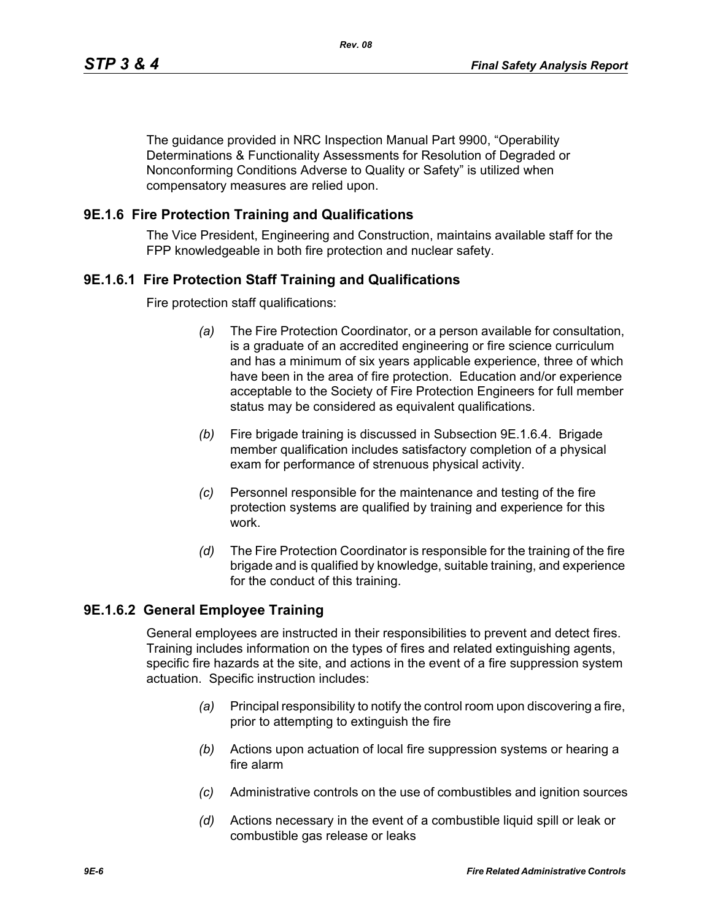The guidance provided in NRC Inspection Manual Part 9900, "Operability Determinations & Functionality Assessments for Resolution of Degraded or Nonconforming Conditions Adverse to Quality or Safety" is utilized when compensatory measures are relied upon.

### **9E.1.6 Fire Protection Training and Qualifications**

The Vice President, Engineering and Construction, maintains available staff for the FPP knowledgeable in both fire protection and nuclear safety.

### **9E.1.6.1 Fire Protection Staff Training and Qualifications**

Fire protection staff qualifications:

- *(a)* The Fire Protection Coordinator, or a person available for consultation, is a graduate of an accredited engineering or fire science curriculum and has a minimum of six years applicable experience, three of which have been in the area of fire protection. Education and/or experience acceptable to the Society of Fire Protection Engineers for full member status may be considered as equivalent qualifications.
- *(b)* Fire brigade training is discussed in Subsection 9E.1.6.4. Brigade member qualification includes satisfactory completion of a physical exam for performance of strenuous physical activity.
- *(c)* Personnel responsible for the maintenance and testing of the fire protection systems are qualified by training and experience for this work.
- *(d)* The Fire Protection Coordinator is responsible for the training of the fire brigade and is qualified by knowledge, suitable training, and experience for the conduct of this training.

#### **9E.1.6.2 General Employee Training**

General employees are instructed in their responsibilities to prevent and detect fires. Training includes information on the types of fires and related extinguishing agents, specific fire hazards at the site, and actions in the event of a fire suppression system actuation. Specific instruction includes:

- *(a)* Principal responsibility to notify the control room upon discovering a fire, prior to attempting to extinguish the fire
- *(b)* Actions upon actuation of local fire suppression systems or hearing a fire alarm
- *(c)* Administrative controls on the use of combustibles and ignition sources
- *(d)* Actions necessary in the event of a combustible liquid spill or leak or combustible gas release or leaks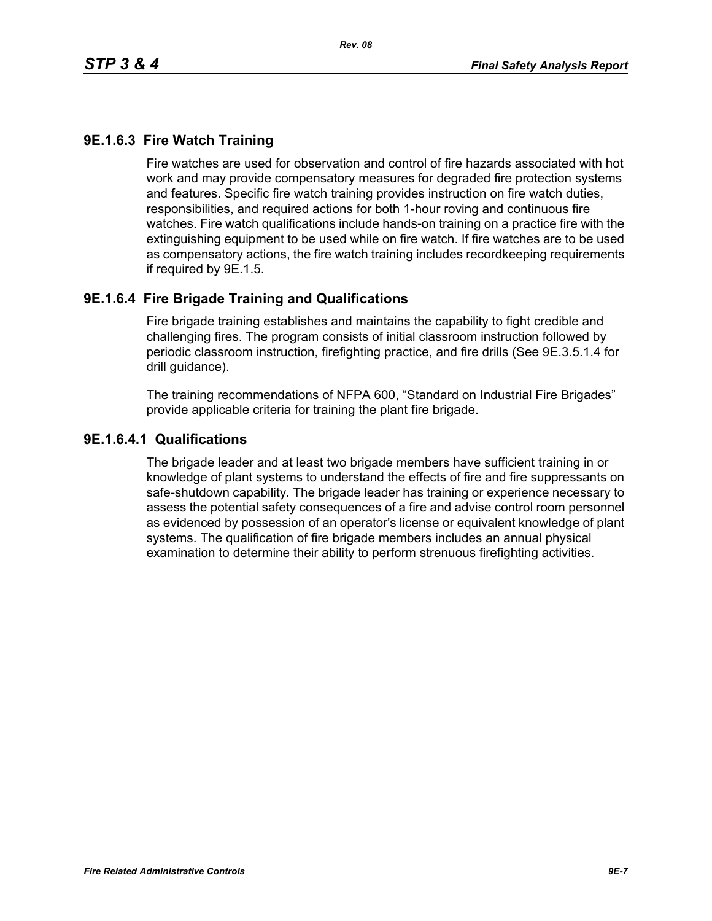# **9E.1.6.3 Fire Watch Training**

Fire watches are used for observation and control of fire hazards associated with hot work and may provide compensatory measures for degraded fire protection systems and features. Specific fire watch training provides instruction on fire watch duties, responsibilities, and required actions for both 1-hour roving and continuous fire watches. Fire watch qualifications include hands-on training on a practice fire with the extinguishing equipment to be used while on fire watch. If fire watches are to be used as compensatory actions, the fire watch training includes recordkeeping requirements if required by 9E.1.5.

### **9E.1.6.4 Fire Brigade Training and Qualifications**

Fire brigade training establishes and maintains the capability to fight credible and challenging fires. The program consists of initial classroom instruction followed by periodic classroom instruction, firefighting practice, and fire drills (See 9E.3.5.1.4 for drill guidance).

The training recommendations of NFPA 600, "Standard on Industrial Fire Brigades" provide applicable criteria for training the plant fire brigade.

#### **9E.1.6.4.1 Qualifications**

The brigade leader and at least two brigade members have sufficient training in or knowledge of plant systems to understand the effects of fire and fire suppressants on safe-shutdown capability. The brigade leader has training or experience necessary to assess the potential safety consequences of a fire and advise control room personnel as evidenced by possession of an operator's license or equivalent knowledge of plant systems. The qualification of fire brigade members includes an annual physical examination to determine their ability to perform strenuous firefighting activities.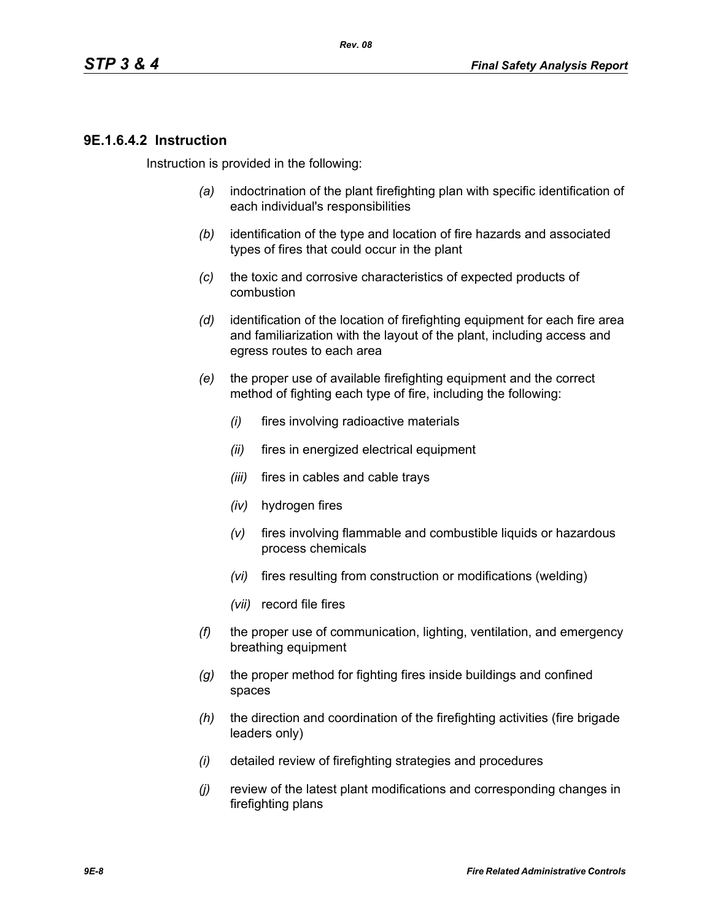### **9E.1.6.4.2 Instruction**

Instruction is provided in the following:

- *(a)* indoctrination of the plant firefighting plan with specific identification of each individual's responsibilities
- *(b)* identification of the type and location of fire hazards and associated types of fires that could occur in the plant
- *(c)* the toxic and corrosive characteristics of expected products of combustion
- *(d)* identification of the location of firefighting equipment for each fire area and familiarization with the layout of the plant, including access and egress routes to each area
- *(e)* the proper use of available firefighting equipment and the correct method of fighting each type of fire, including the following:
	- *(i)* fires involving radioactive materials
	- *(ii)* fires in energized electrical equipment
	- *(iii)* fires in cables and cable trays
	- *(iv)* hydrogen fires
	- *(v)* fires involving flammable and combustible liquids or hazardous process chemicals
	- *(vi)* fires resulting from construction or modifications (welding)
	- *(vii)* record file fires
- *(f)* the proper use of communication, lighting, ventilation, and emergency breathing equipment
- *(g)* the proper method for fighting fires inside buildings and confined spaces
- *(h)* the direction and coordination of the firefighting activities (fire brigade leaders only)
- *(i)* detailed review of firefighting strategies and procedures
- *(j)* review of the latest plant modifications and corresponding changes in firefighting plans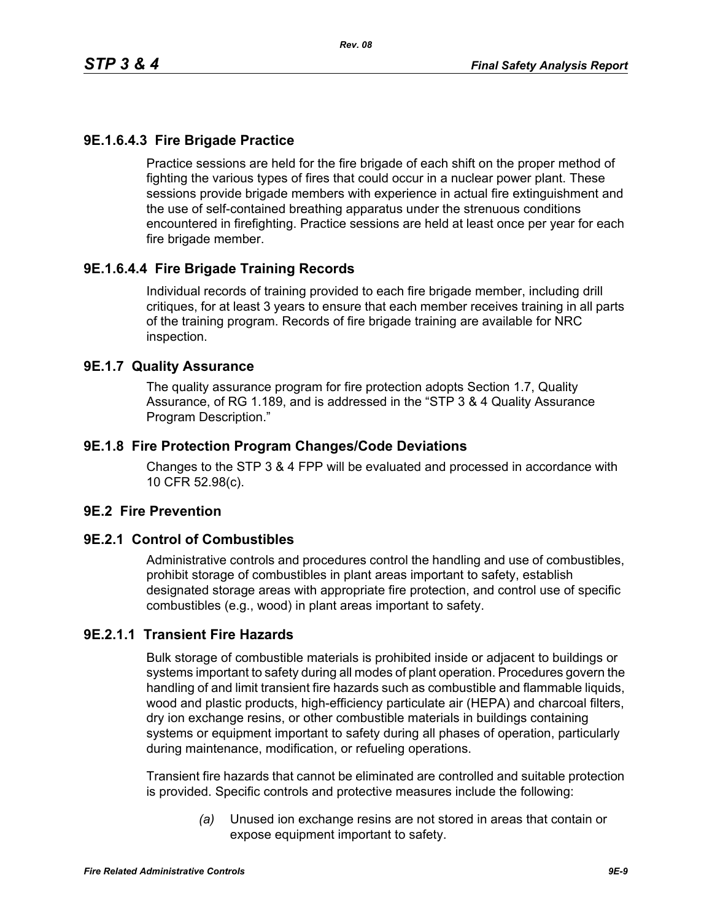# **9E.1.6.4.3 Fire Brigade Practice**

Practice sessions are held for the fire brigade of each shift on the proper method of fighting the various types of fires that could occur in a nuclear power plant. These sessions provide brigade members with experience in actual fire extinguishment and the use of self-contained breathing apparatus under the strenuous conditions encountered in firefighting. Practice sessions are held at least once per year for each fire brigade member.

# **9E.1.6.4.4 Fire Brigade Training Records**

Individual records of training provided to each fire brigade member, including drill critiques, for at least 3 years to ensure that each member receives training in all parts of the training program. Records of fire brigade training are available for NRC inspection.

#### **9E.1.7 Quality Assurance**

The quality assurance program for fire protection adopts Section 1.7, Quality Assurance, of RG 1.189, and is addressed in the "STP 3 & 4 Quality Assurance Program Description."

### **9E.1.8 Fire Protection Program Changes/Code Deviations**

Changes to the STP 3 & 4 FPP will be evaluated and processed in accordance with 10 CFR 52.98(c).

# **9E.2 Fire Prevention**

#### **9E.2.1 Control of Combustibles**

Administrative controls and procedures control the handling and use of combustibles, prohibit storage of combustibles in plant areas important to safety, establish designated storage areas with appropriate fire protection, and control use of specific combustibles (e.g., wood) in plant areas important to safety.

# **9E.2.1.1 Transient Fire Hazards**

Bulk storage of combustible materials is prohibited inside or adjacent to buildings or systems important to safety during all modes of plant operation. Procedures govern the handling of and limit transient fire hazards such as combustible and flammable liquids, wood and plastic products, high-efficiency particulate air (HEPA) and charcoal filters, dry ion exchange resins, or other combustible materials in buildings containing systems or equipment important to safety during all phases of operation, particularly during maintenance, modification, or refueling operations.

Transient fire hazards that cannot be eliminated are controlled and suitable protection is provided. Specific controls and protective measures include the following:

> *(a)* Unused ion exchange resins are not stored in areas that contain or expose equipment important to safety.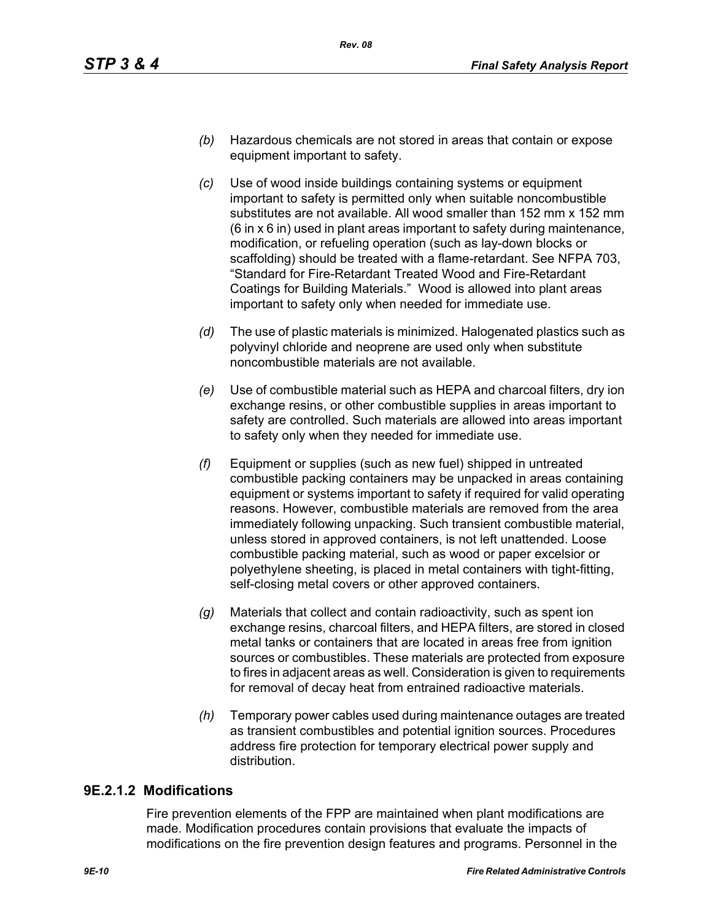- *(b)* Hazardous chemicals are not stored in areas that contain or expose equipment important to safety.
- *(c)* Use of wood inside buildings containing systems or equipment important to safety is permitted only when suitable noncombustible substitutes are not available. All wood smaller than 152 mm x 152 mm (6 in x 6 in) used in plant areas important to safety during maintenance, modification, or refueling operation (such as lay-down blocks or scaffolding) should be treated with a flame-retardant. See NFPA 703, "Standard for Fire-Retardant Treated Wood and Fire-Retardant Coatings for Building Materials." Wood is allowed into plant areas important to safety only when needed for immediate use.
- *(d)* The use of plastic materials is minimized. Halogenated plastics such as polyvinyl chloride and neoprene are used only when substitute noncombustible materials are not available.
- *(e)* Use of combustible material such as HEPA and charcoal filters, dry ion exchange resins, or other combustible supplies in areas important to safety are controlled. Such materials are allowed into areas important to safety only when they needed for immediate use.
- *(f)* Equipment or supplies (such as new fuel) shipped in untreated combustible packing containers may be unpacked in areas containing equipment or systems important to safety if required for valid operating reasons. However, combustible materials are removed from the area immediately following unpacking. Such transient combustible material, unless stored in approved containers, is not left unattended. Loose combustible packing material, such as wood or paper excelsior or polyethylene sheeting, is placed in metal containers with tight-fitting, self-closing metal covers or other approved containers.
- *(g)* Materials that collect and contain radioactivity, such as spent ion exchange resins, charcoal filters, and HEPA filters, are stored in closed metal tanks or containers that are located in areas free from ignition sources or combustibles. These materials are protected from exposure to fires in adjacent areas as well. Consideration is given to requirements for removal of decay heat from entrained radioactive materials.
- *(h)* Temporary power cables used during maintenance outages are treated as transient combustibles and potential ignition sources. Procedures address fire protection for temporary electrical power supply and distribution.

# **9E.2.1.2 Modifications**

Fire prevention elements of the FPP are maintained when plant modifications are made. Modification procedures contain provisions that evaluate the impacts of modifications on the fire prevention design features and programs. Personnel in the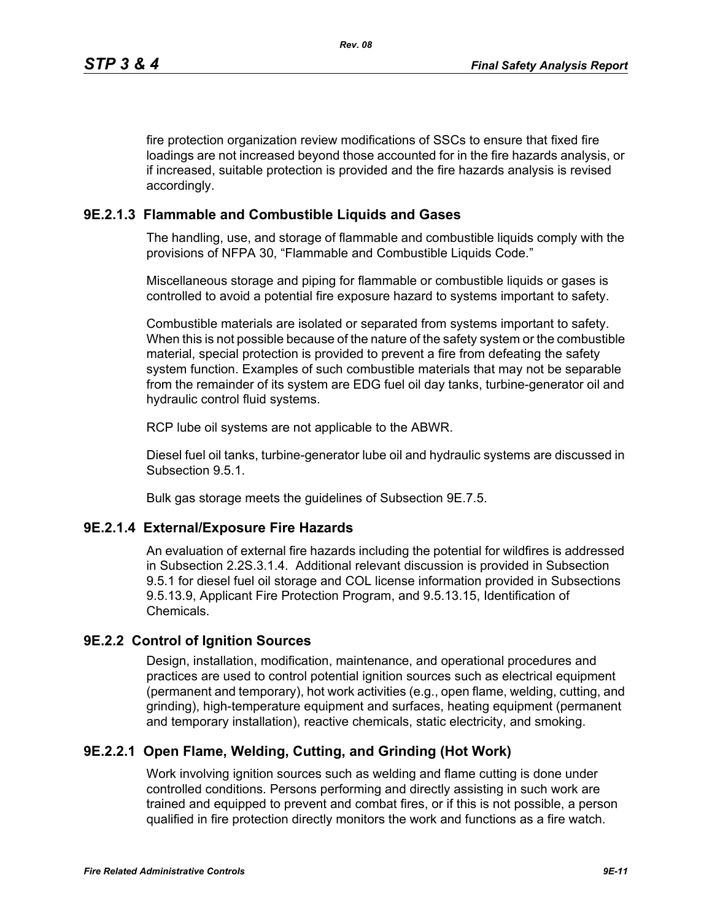fire protection organization review modifications of SSCs to ensure that fixed fire loadings are not increased beyond those accounted for in the fire hazards analysis, or if increased, suitable protection is provided and the fire hazards analysis is revised accordingly.

# **9E.2.1.3 Flammable and Combustible Liquids and Gases**

The handling, use, and storage of flammable and combustible liquids comply with the provisions of NFPA 30, "Flammable and Combustible Liquids Code."

Miscellaneous storage and piping for flammable or combustible liquids or gases is controlled to avoid a potential fire exposure hazard to systems important to safety.

Combustible materials are isolated or separated from systems important to safety. When this is not possible because of the nature of the safety system or the combustible material, special protection is provided to prevent a fire from defeating the safety system function. Examples of such combustible materials that may not be separable from the remainder of its system are EDG fuel oil day tanks, turbine-generator oil and hydraulic control fluid systems.

RCP lube oil systems are not applicable to the ABWR.

Diesel fuel oil tanks, turbine-generator lube oil and hydraulic systems are discussed in Subsection 9.5.1.

Bulk gas storage meets the guidelines of Subsection 9E.7.5.

# **9E.2.1.4 External/Exposure Fire Hazards**

An evaluation of external fire hazards including the potential for wildfires is addressed in Subsection 2.2S.3.1.4. Additional relevant discussion is provided in Subsection 9.5.1 for diesel fuel oil storage and COL license information provided in Subsections 9.5.13.9, Applicant Fire Protection Program, and 9.5.13.15, Identification of Chemicals.

# **9E.2.2 Control of Ignition Sources**

Design, installation, modification, maintenance, and operational procedures and practices are used to control potential ignition sources such as electrical equipment (permanent and temporary), hot work activities (e.g., open flame, welding, cutting, and grinding), high-temperature equipment and surfaces, heating equipment (permanent and temporary installation), reactive chemicals, static electricity, and smoking.

# **9E.2.2.1 Open Flame, Welding, Cutting, and Grinding (Hot Work)**

Work involving ignition sources such as welding and flame cutting is done under controlled conditions. Persons performing and directly assisting in such work are trained and equipped to prevent and combat fires, or if this is not possible, a person qualified in fire protection directly monitors the work and functions as a fire watch.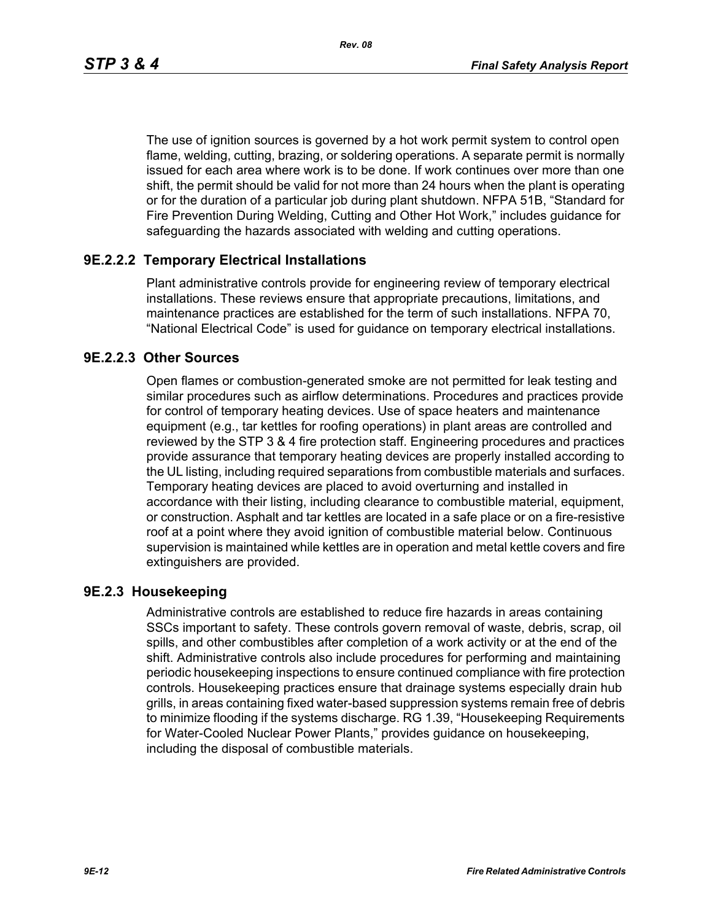*Rev. 08*

The use of ignition sources is governed by a hot work permit system to control open flame, welding, cutting, brazing, or soldering operations. A separate permit is normally issued for each area where work is to be done. If work continues over more than one shift, the permit should be valid for not more than 24 hours when the plant is operating or for the duration of a particular job during plant shutdown. NFPA 51B, "Standard for Fire Prevention During Welding, Cutting and Other Hot Work," includes guidance for safeguarding the hazards associated with welding and cutting operations.

# **9E.2.2.2 Temporary Electrical Installations**

Plant administrative controls provide for engineering review of temporary electrical installations. These reviews ensure that appropriate precautions, limitations, and maintenance practices are established for the term of such installations. NFPA 70, "National Electrical Code" is used for guidance on temporary electrical installations.

# **9E.2.2.3 Other Sources**

Open flames or combustion-generated smoke are not permitted for leak testing and similar procedures such as airflow determinations. Procedures and practices provide for control of temporary heating devices. Use of space heaters and maintenance equipment (e.g., tar kettles for roofing operations) in plant areas are controlled and reviewed by the STP 3 & 4 fire protection staff. Engineering procedures and practices provide assurance that temporary heating devices are properly installed according to the UL listing, including required separations from combustible materials and surfaces. Temporary heating devices are placed to avoid overturning and installed in accordance with their listing, including clearance to combustible material, equipment, or construction. Asphalt and tar kettles are located in a safe place or on a fire-resistive roof at a point where they avoid ignition of combustible material below. Continuous supervision is maintained while kettles are in operation and metal kettle covers and fire extinguishers are provided.

# **9E.2.3 Housekeeping**

Administrative controls are established to reduce fire hazards in areas containing SSCs important to safety. These controls govern removal of waste, debris, scrap, oil spills, and other combustibles after completion of a work activity or at the end of the shift. Administrative controls also include procedures for performing and maintaining periodic housekeeping inspections to ensure continued compliance with fire protection controls. Housekeeping practices ensure that drainage systems especially drain hub grills, in areas containing fixed water-based suppression systems remain free of debris to minimize flooding if the systems discharge. RG 1.39, "Housekeeping Requirements for Water-Cooled Nuclear Power Plants," provides guidance on housekeeping, including the disposal of combustible materials.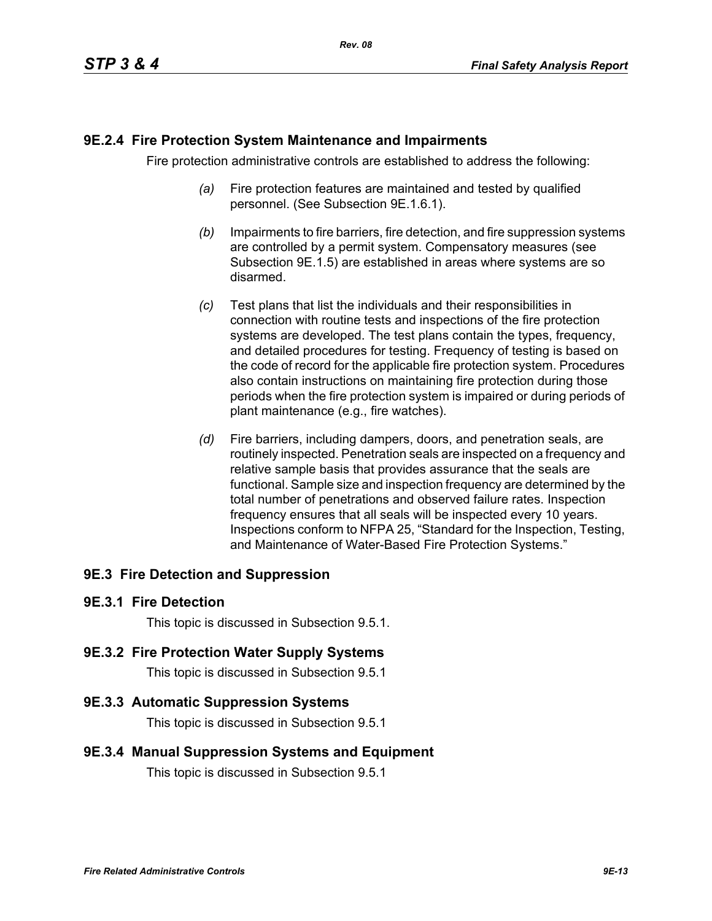### **9E.2.4 Fire Protection System Maintenance and Impairments**

Fire protection administrative controls are established to address the following:

- *(a)* Fire protection features are maintained and tested by qualified personnel. (See Subsection 9E.1.6.1).
- *(b)* Impairments to fire barriers, fire detection, and fire suppression systems are controlled by a permit system. Compensatory measures (see Subsection 9E.1.5) are established in areas where systems are so disarmed.
- *(c)* Test plans that list the individuals and their responsibilities in connection with routine tests and inspections of the fire protection systems are developed. The test plans contain the types, frequency, and detailed procedures for testing. Frequency of testing is based on the code of record for the applicable fire protection system. Procedures also contain instructions on maintaining fire protection during those periods when the fire protection system is impaired or during periods of plant maintenance (e.g., fire watches).
- *(d)* Fire barriers, including dampers, doors, and penetration seals, are routinely inspected. Penetration seals are inspected on a frequency and relative sample basis that provides assurance that the seals are functional. Sample size and inspection frequency are determined by the total number of penetrations and observed failure rates. Inspection frequency ensures that all seals will be inspected every 10 years. Inspections conform to NFPA 25, "Standard for the Inspection, Testing, and Maintenance of Water-Based Fire Protection Systems."

# **9E.3 Fire Detection and Suppression**

#### **9E.3.1 Fire Detection**

This topic is discussed in Subsection 9.5.1.

#### **9E.3.2 Fire Protection Water Supply Systems**

This topic is discussed in Subsection 9.5.1

#### **9E.3.3 Automatic Suppression Systems**

This topic is discussed in Subsection 9.5.1

#### **9E.3.4 Manual Suppression Systems and Equipment**

This topic is discussed in Subsection 9.5.1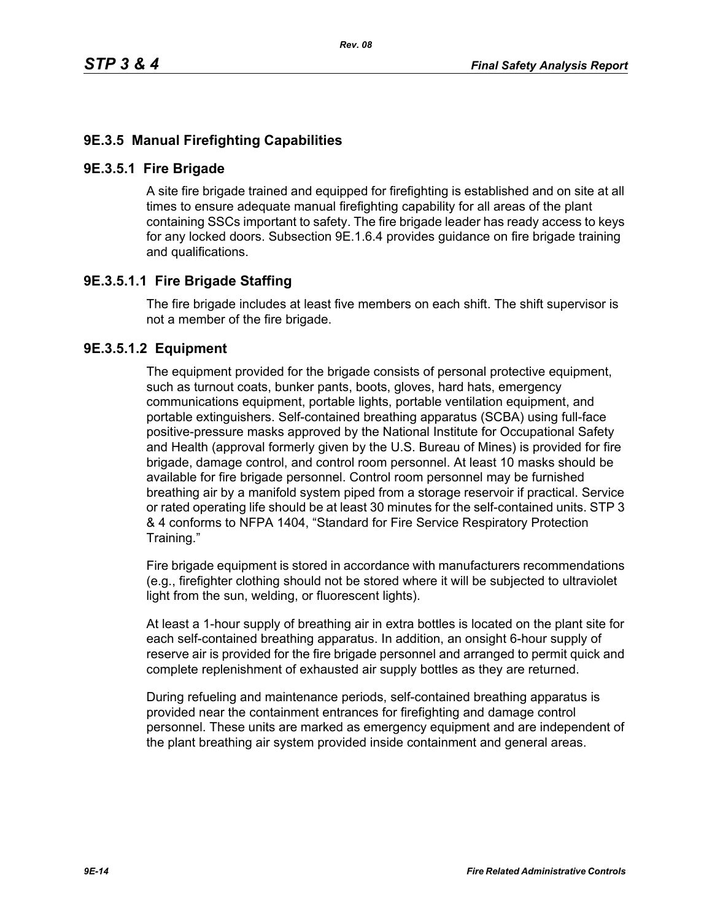# **9E.3.5 Manual Firefighting Capabilities**

#### **9E.3.5.1 Fire Brigade**

A site fire brigade trained and equipped for firefighting is established and on site at all times to ensure adequate manual firefighting capability for all areas of the plant containing SSCs important to safety. The fire brigade leader has ready access to keys for any locked doors. Subsection 9E.1.6.4 provides guidance on fire brigade training and qualifications.

# **9E.3.5.1.1 Fire Brigade Staffing**

The fire brigade includes at least five members on each shift. The shift supervisor is not a member of the fire brigade.

### **9E.3.5.1.2 Equipment**

The equipment provided for the brigade consists of personal protective equipment, such as turnout coats, bunker pants, boots, gloves, hard hats, emergency communications equipment, portable lights, portable ventilation equipment, and portable extinguishers. Self-contained breathing apparatus (SCBA) using full-face positive-pressure masks approved by the National Institute for Occupational Safety and Health (approval formerly given by the U.S. Bureau of Mines) is provided for fire brigade, damage control, and control room personnel. At least 10 masks should be available for fire brigade personnel. Control room personnel may be furnished breathing air by a manifold system piped from a storage reservoir if practical. Service or rated operating life should be at least 30 minutes for the self-contained units. STP 3 & 4 conforms to NFPA 1404, "Standard for Fire Service Respiratory Protection Training."

Fire brigade equipment is stored in accordance with manufacturers recommendations (e.g., firefighter clothing should not be stored where it will be subjected to ultraviolet light from the sun, welding, or fluorescent lights).

At least a 1-hour supply of breathing air in extra bottles is located on the plant site for each self-contained breathing apparatus. In addition, an onsight 6-hour supply of reserve air is provided for the fire brigade personnel and arranged to permit quick and complete replenishment of exhausted air supply bottles as they are returned.

During refueling and maintenance periods, self-contained breathing apparatus is provided near the containment entrances for firefighting and damage control personnel. These units are marked as emergency equipment and are independent of the plant breathing air system provided inside containment and general areas.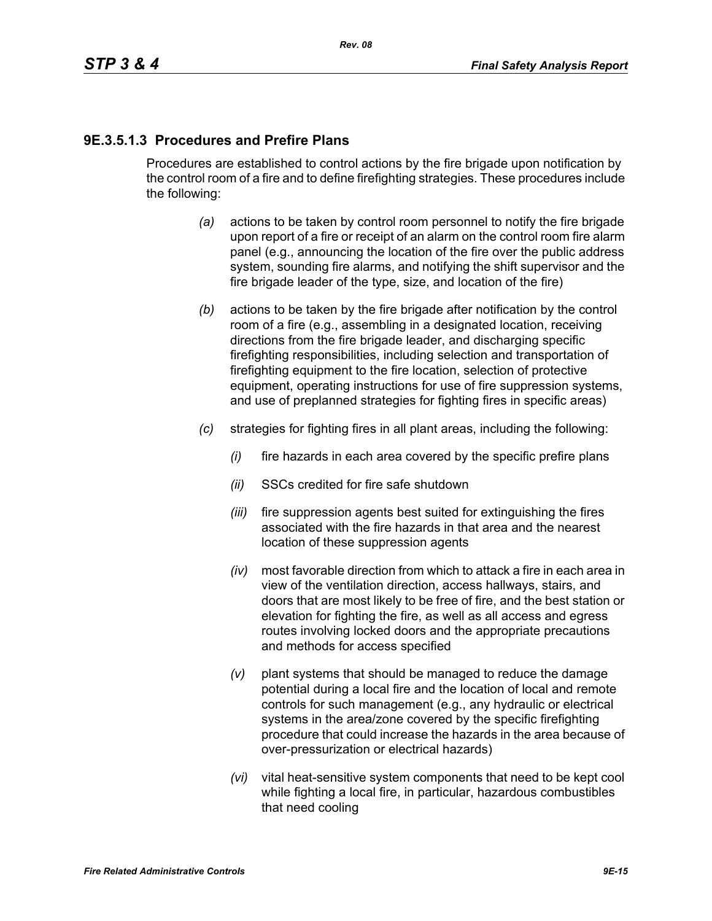# **9E.3.5.1.3 Procedures and Prefire Plans**

Procedures are established to control actions by the fire brigade upon notification by the control room of a fire and to define firefighting strategies. These procedures include the following:

- *(a)* actions to be taken by control room personnel to notify the fire brigade upon report of a fire or receipt of an alarm on the control room fire alarm panel (e.g., announcing the location of the fire over the public address system, sounding fire alarms, and notifying the shift supervisor and the fire brigade leader of the type, size, and location of the fire)
- *(b)* actions to be taken by the fire brigade after notification by the control room of a fire (e.g., assembling in a designated location, receiving directions from the fire brigade leader, and discharging specific firefighting responsibilities, including selection and transportation of firefighting equipment to the fire location, selection of protective equipment, operating instructions for use of fire suppression systems, and use of preplanned strategies for fighting fires in specific areas)
- *(c)* strategies for fighting fires in all plant areas, including the following:
	- *(i)* fire hazards in each area covered by the specific prefire plans
	- *(ii)* SSCs credited for fire safe shutdown
	- *(iii)* fire suppression agents best suited for extinguishing the fires associated with the fire hazards in that area and the nearest location of these suppression agents
	- *(iv)* most favorable direction from which to attack a fire in each area in view of the ventilation direction, access hallways, stairs, and doors that are most likely to be free of fire, and the best station or elevation for fighting the fire, as well as all access and egress routes involving locked doors and the appropriate precautions and methods for access specified
	- *(v)* plant systems that should be managed to reduce the damage potential during a local fire and the location of local and remote controls for such management (e.g., any hydraulic or electrical systems in the area/zone covered by the specific firefighting procedure that could increase the hazards in the area because of over-pressurization or electrical hazards)
	- *(vi)* vital heat-sensitive system components that need to be kept cool while fighting a local fire, in particular, hazardous combustibles that need cooling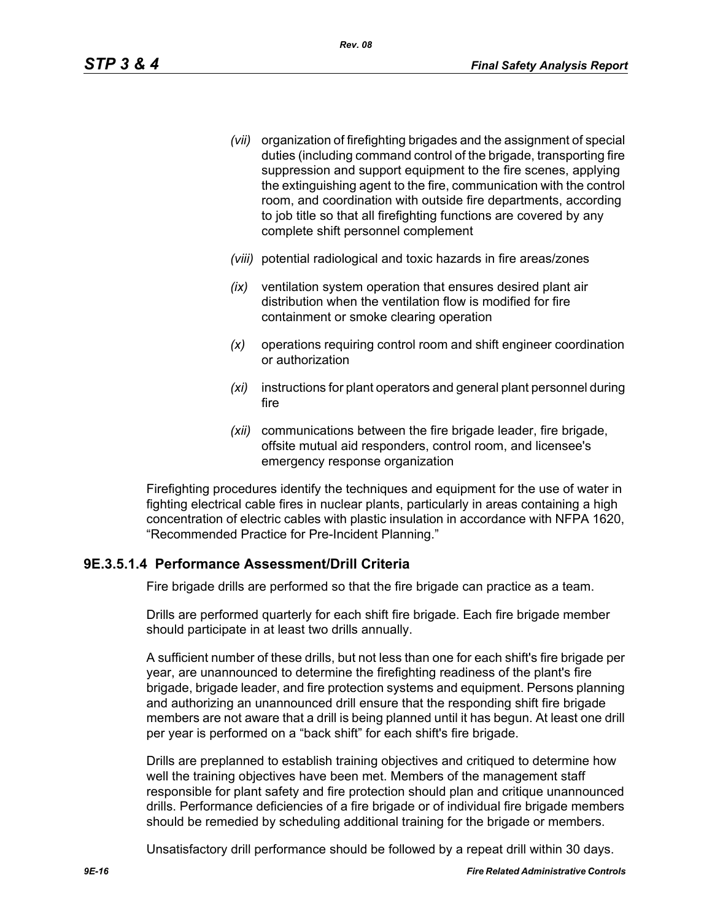- *(vii)* organization of firefighting brigades and the assignment of special duties (including command control of the brigade, transporting fire suppression and support equipment to the fire scenes, applying the extinguishing agent to the fire, communication with the control room, and coordination with outside fire departments, according to job title so that all firefighting functions are covered by any complete shift personnel complement
- *(viii)* potential radiological and toxic hazards in fire areas/zones
- *(ix)* ventilation system operation that ensures desired plant air distribution when the ventilation flow is modified for fire containment or smoke clearing operation
- *(x)* operations requiring control room and shift engineer coordination or authorization
- *(xi)* instructions for plant operators and general plant personnel during fire
- *(xii)* communications between the fire brigade leader, fire brigade, offsite mutual aid responders, control room, and licensee's emergency response organization

Firefighting procedures identify the techniques and equipment for the use of water in fighting electrical cable fires in nuclear plants, particularly in areas containing a high concentration of electric cables with plastic insulation in accordance with NFPA 1620, "Recommended Practice for Pre-Incident Planning."

# **9E.3.5.1.4 Performance Assessment/Drill Criteria**

Fire brigade drills are performed so that the fire brigade can practice as a team.

Drills are performed quarterly for each shift fire brigade. Each fire brigade member should participate in at least two drills annually.

A sufficient number of these drills, but not less than one for each shift's fire brigade per year, are unannounced to determine the firefighting readiness of the plant's fire brigade, brigade leader, and fire protection systems and equipment. Persons planning and authorizing an unannounced drill ensure that the responding shift fire brigade members are not aware that a drill is being planned until it has begun. At least one drill per year is performed on a "back shift" for each shift's fire brigade.

Drills are preplanned to establish training objectives and critiqued to determine how well the training objectives have been met. Members of the management staff responsible for plant safety and fire protection should plan and critique unannounced drills. Performance deficiencies of a fire brigade or of individual fire brigade members should be remedied by scheduling additional training for the brigade or members.

Unsatisfactory drill performance should be followed by a repeat drill within 30 days.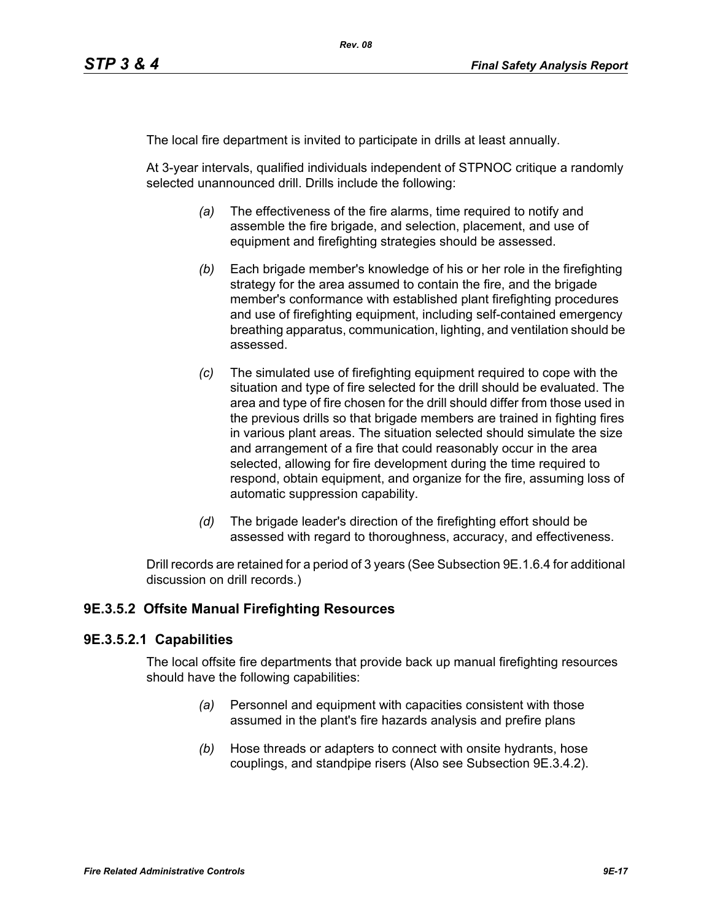The local fire department is invited to participate in drills at least annually.

At 3-year intervals, qualified individuals independent of STPNOC critique a randomly selected unannounced drill. Drills include the following:

- *(a)* The effectiveness of the fire alarms, time required to notify and assemble the fire brigade, and selection, placement, and use of equipment and firefighting strategies should be assessed.
- *(b)* Each brigade member's knowledge of his or her role in the firefighting strategy for the area assumed to contain the fire, and the brigade member's conformance with established plant firefighting procedures and use of firefighting equipment, including self-contained emergency breathing apparatus, communication, lighting, and ventilation should be assessed.
- *(c)* The simulated use of firefighting equipment required to cope with the situation and type of fire selected for the drill should be evaluated. The area and type of fire chosen for the drill should differ from those used in the previous drills so that brigade members are trained in fighting fires in various plant areas. The situation selected should simulate the size and arrangement of a fire that could reasonably occur in the area selected, allowing for fire development during the time required to respond, obtain equipment, and organize for the fire, assuming loss of automatic suppression capability.
- *(d)* The brigade leader's direction of the firefighting effort should be assessed with regard to thoroughness, accuracy, and effectiveness.

Drill records are retained for a period of 3 years (See Subsection 9E.1.6.4 for additional discussion on drill records.)

# **9E.3.5.2 Offsite Manual Firefighting Resources**

#### **9E.3.5.2.1 Capabilities**

The local offsite fire departments that provide back up manual firefighting resources should have the following capabilities:

- *(a)* Personnel and equipment with capacities consistent with those assumed in the plant's fire hazards analysis and prefire plans
- *(b)* Hose threads or adapters to connect with onsite hydrants, hose couplings, and standpipe risers (Also see Subsection 9E.3.4.2).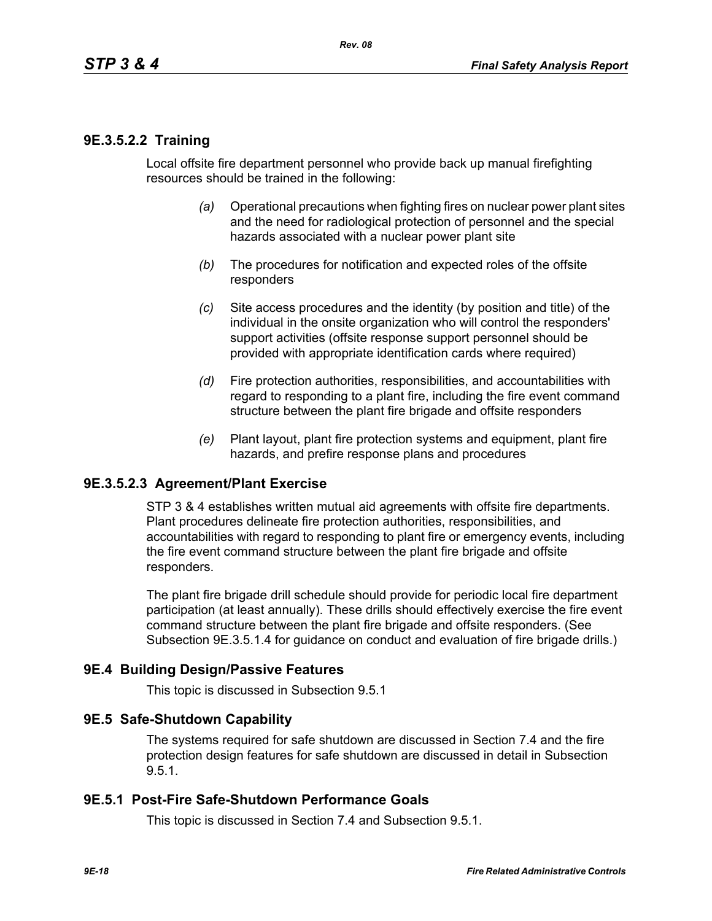### **9E.3.5.2.2 Training**

Local offsite fire department personnel who provide back up manual firefighting resources should be trained in the following:

- *(a)* Operational precautions when fighting fires on nuclear power plant sites and the need for radiological protection of personnel and the special hazards associated with a nuclear power plant site
- *(b)* The procedures for notification and expected roles of the offsite responders
- *(c)* Site access procedures and the identity (by position and title) of the individual in the onsite organization who will control the responders' support activities (offsite response support personnel should be provided with appropriate identification cards where required)
- *(d)* Fire protection authorities, responsibilities, and accountabilities with regard to responding to a plant fire, including the fire event command structure between the plant fire brigade and offsite responders
- *(e)* Plant layout, plant fire protection systems and equipment, plant fire hazards, and prefire response plans and procedures

#### **9E.3.5.2.3 Agreement/Plant Exercise**

STP 3 & 4 establishes written mutual aid agreements with offsite fire departments. Plant procedures delineate fire protection authorities, responsibilities, and accountabilities with regard to responding to plant fire or emergency events, including the fire event command structure between the plant fire brigade and offsite responders.

The plant fire brigade drill schedule should provide for periodic local fire department participation (at least annually). These drills should effectively exercise the fire event command structure between the plant fire brigade and offsite responders. (See Subsection 9E.3.5.1.4 for guidance on conduct and evaluation of fire brigade drills.)

#### **9E.4 Building Design/Passive Features**

This topic is discussed in Subsection 9.5.1

#### **9E.5 Safe-Shutdown Capability**

The systems required for safe shutdown are discussed in Section 7.4 and the fire protection design features for safe shutdown are discussed in detail in Subsection 9.5.1.

#### **9E.5.1 Post-Fire Safe-Shutdown Performance Goals**

This topic is discussed in Section 7.4 and Subsection 9.5.1.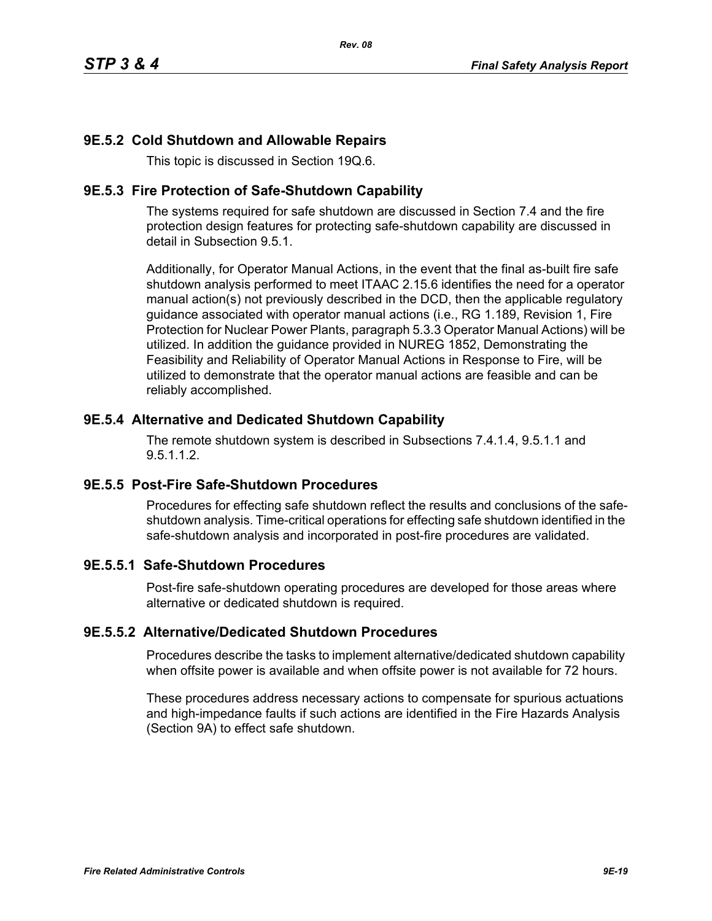# **9E.5.2 Cold Shutdown and Allowable Repairs**

This topic is discussed in Section 19Q.6.

### **9E.5.3 Fire Protection of Safe-Shutdown Capability**

The systems required for safe shutdown are discussed in Section 7.4 and the fire protection design features for protecting safe-shutdown capability are discussed in detail in Subsection 9.5.1.

Additionally, for Operator Manual Actions, in the event that the final as-built fire safe shutdown analysis performed to meet ITAAC 2.15.6 identifies the need for a operator manual action(s) not previously described in the DCD, then the applicable regulatory guidance associated with operator manual actions (i.e., RG 1.189, Revision 1, Fire Protection for Nuclear Power Plants, paragraph 5.3.3 Operator Manual Actions) will be utilized. In addition the guidance provided in NUREG 1852, Demonstrating the Feasibility and Reliability of Operator Manual Actions in Response to Fire, will be utilized to demonstrate that the operator manual actions are feasible and can be reliably accomplished.

# **9E.5.4 Alternative and Dedicated Shutdown Capability**

The remote shutdown system is described in Subsections 7.4.1.4, 9.5.1.1 and 9.5.1.1.2.

# **9E.5.5 Post-Fire Safe-Shutdown Procedures**

Procedures for effecting safe shutdown reflect the results and conclusions of the safeshutdown analysis. Time-critical operations for effecting safe shutdown identified in the safe-shutdown analysis and incorporated in post-fire procedures are validated.

# **9E.5.5.1 Safe-Shutdown Procedures**

Post-fire safe-shutdown operating procedures are developed for those areas where alternative or dedicated shutdown is required.

# **9E.5.5.2 Alternative/Dedicated Shutdown Procedures**

Procedures describe the tasks to implement alternative/dedicated shutdown capability when offsite power is available and when offsite power is not available for 72 hours.

These procedures address necessary actions to compensate for spurious actuations and high-impedance faults if such actions are identified in the Fire Hazards Analysis (Section 9A) to effect safe shutdown.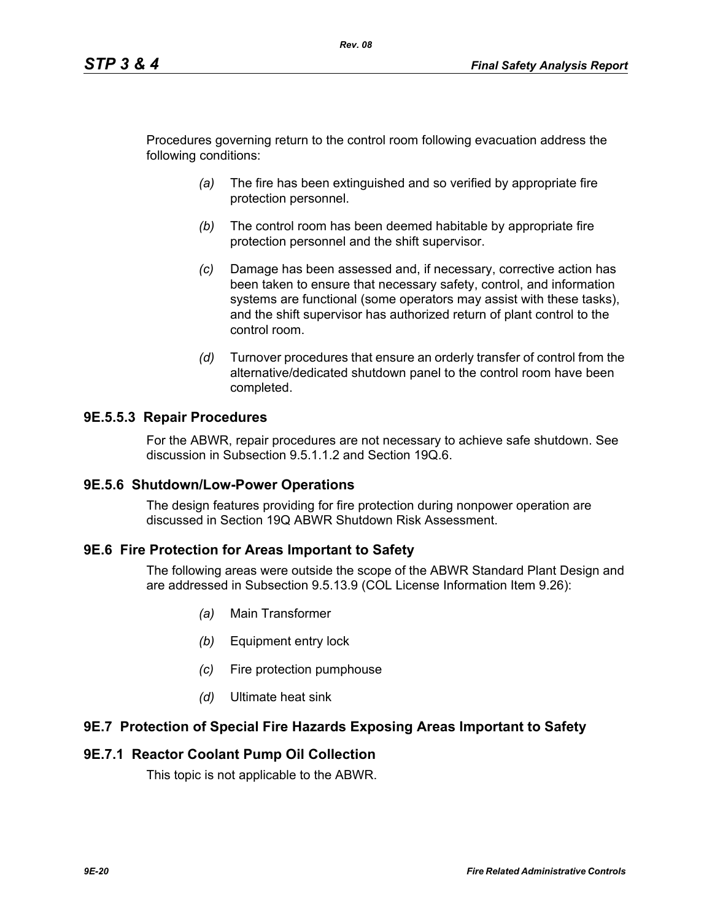Procedures governing return to the control room following evacuation address the following conditions:

*Rev. 08*

- *(a)* The fire has been extinguished and so verified by appropriate fire protection personnel.
- *(b)* The control room has been deemed habitable by appropriate fire protection personnel and the shift supervisor.
- *(c)* Damage has been assessed and, if necessary, corrective action has been taken to ensure that necessary safety, control, and information systems are functional (some operators may assist with these tasks), and the shift supervisor has authorized return of plant control to the control room.
- *(d)* Turnover procedures that ensure an orderly transfer of control from the alternative/dedicated shutdown panel to the control room have been completed.

### **9E.5.5.3 Repair Procedures**

For the ABWR, repair procedures are not necessary to achieve safe shutdown. See discussion in Subsection 9.5.1.1.2 and Section 19Q.6.

#### **9E.5.6 Shutdown/Low-Power Operations**

The design features providing for fire protection during nonpower operation are discussed in Section 19Q ABWR Shutdown Risk Assessment.

#### **9E.6 Fire Protection for Areas Important to Safety**

The following areas were outside the scope of the ABWR Standard Plant Design and are addressed in Subsection 9.5.13.9 (COL License Information Item 9.26):

- *(a)* Main Transformer
- *(b)* Equipment entry lock
- *(c)* Fire protection pumphouse
- *(d)* Ultimate heat sink

#### **9E.7 Protection of Special Fire Hazards Exposing Areas Important to Safety**

#### **9E.7.1 Reactor Coolant Pump Oil Collection**

This topic is not applicable to the ABWR.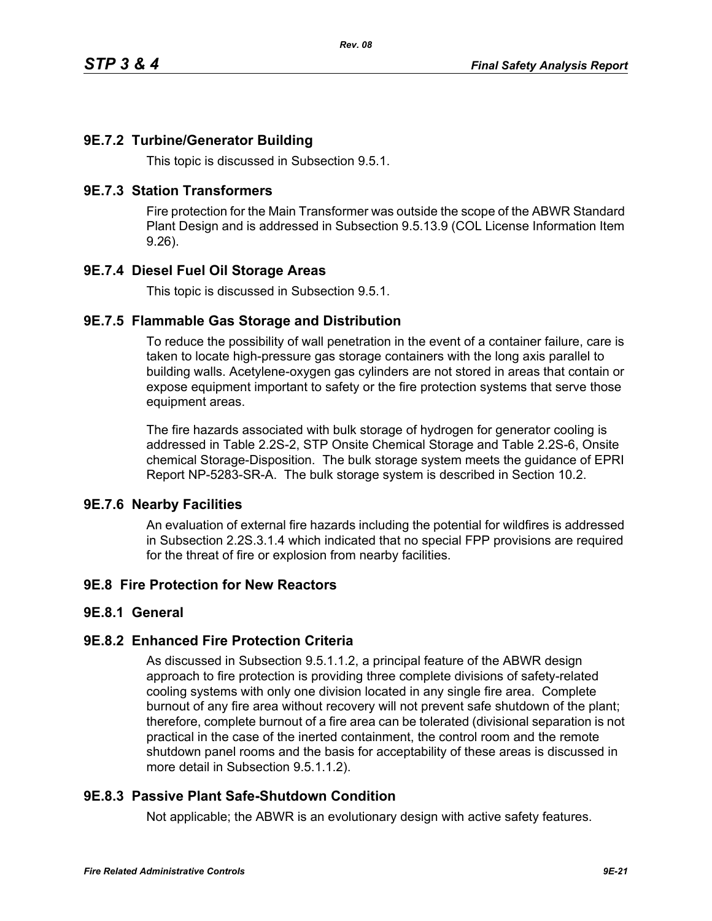# **9E.7.2 Turbine/Generator Building**

This topic is discussed in Subsection 9.5.1.

#### **9E.7.3 Station Transformers**

Fire protection for the Main Transformer was outside the scope of the ABWR Standard Plant Design and is addressed in Subsection 9.5.13.9 (COL License Information Item 9.26).

### **9E.7.4 Diesel Fuel Oil Storage Areas**

This topic is discussed in Subsection 9.5.1.

### **9E.7.5 Flammable Gas Storage and Distribution**

To reduce the possibility of wall penetration in the event of a container failure, care is taken to locate high-pressure gas storage containers with the long axis parallel to building walls. Acetylene-oxygen gas cylinders are not stored in areas that contain or expose equipment important to safety or the fire protection systems that serve those equipment areas.

The fire hazards associated with bulk storage of hydrogen for generator cooling is addressed in Table 2.2S-2, STP Onsite Chemical Storage and Table 2.2S-6, Onsite chemical Storage-Disposition. The bulk storage system meets the guidance of EPRI Report NP-5283-SR-A. The bulk storage system is described in Section 10.2.

#### **9E.7.6 Nearby Facilities**

An evaluation of external fire hazards including the potential for wildfires is addressed in Subsection 2.2S.3.1.4 which indicated that no special FPP provisions are required for the threat of fire or explosion from nearby facilities.

# **9E.8 Fire Protection for New Reactors**

#### **9E.8.1 General**

#### **9E.8.2 Enhanced Fire Protection Criteria**

As discussed in Subsection 9.5.1.1.2, a principal feature of the ABWR design approach to fire protection is providing three complete divisions of safety-related cooling systems with only one division located in any single fire area. Complete burnout of any fire area without recovery will not prevent safe shutdown of the plant; therefore, complete burnout of a fire area can be tolerated (divisional separation is not practical in the case of the inerted containment, the control room and the remote shutdown panel rooms and the basis for acceptability of these areas is discussed in more detail in Subsection 9.5.1.1.2).

# **9E.8.3 Passive Plant Safe-Shutdown Condition**

Not applicable; the ABWR is an evolutionary design with active safety features.